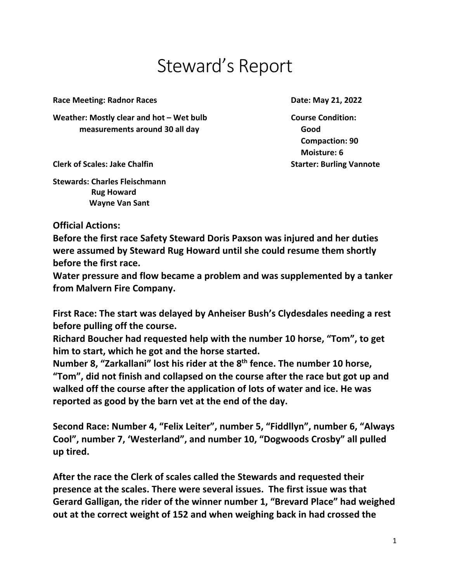## Steward's Report

**Race Meeting: Radnor Races Date: May 21, 2022** 

Weather: Mostly clear and hot – Wet bulb **Course Condition: measurements around 30 all day Good Good** 

 **Compaction: 90 Moisture: 6** 

**Clerk of Scales: Jake Chalfin Starter: Burling Vannote** 

**Stewards: Charles Fleischmann Rug Howard Wayne Van Sant** 

## **Official Actions:**

**Before the first race Safety Steward Doris Paxson was injured and her duties were assumed by Steward Rug Howard until she could resume them shortly before the first race.** 

**Water pressure and flow became a problem and was supplemented by a tanker from Malvern Fire Company.** 

**First Race: The start was delayed by Anheiser Bush's Clydesdales needing a rest before pulling off the course.** 

**Richard Boucher had requested help with the number 10 horse, "Tom", to get him to start, which he got and the horse started.** 

**Number 8, "Zarkallani" lost his rider at the 8th fence. The number 10 horse, "Tom", did not finish and collapsed on the course after the race but got up and walked off the course after the application of lots of water and ice. He was reported as good by the barn vet at the end of the day.** 

**Second Race: Number 4, "Felix Leiter", number 5, "Fiddllyn", number 6, "Always Cool", number 7, 'Westerland", and number 10, "Dogwoods Crosby" all pulled up tired.** 

**After the race the Clerk of scales called the Stewards and requested their presence at the scales. There were several issues. The first issue was that Gerard Galligan, the rider of the winner number 1, "Brevard Place" had weighed out at the correct weight of 152 and when weighing back in had crossed the**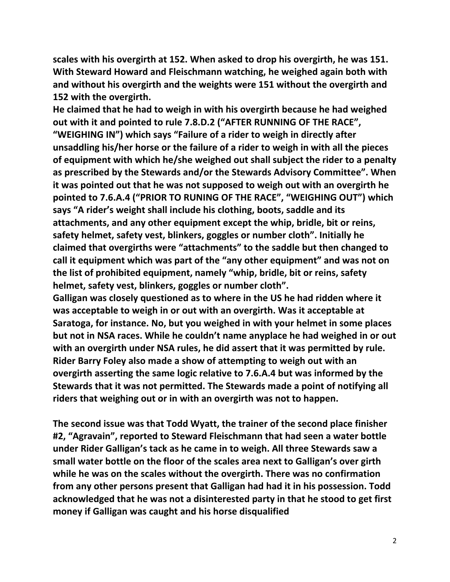**scales with his overgirth at 152. When asked to drop his overgirth, he was 151. With Steward Howard and Fleischmann watching, he weighed again both with and without his overgirth and the weights were 151 without the overgirth and 152 with the overgirth.** 

**He claimed that he had to weigh in with his overgirth because he had weighed out with it and pointed to rule 7.8.D.2 ("AFTER RUNNING OF THE RACE", "WEIGHING IN") which says "Failure of a rider to weigh in directly after unsaddling his/her horse or the failure of a rider to weigh in with all the pieces of equipment with which he/she weighed out shall subject the rider to a penalty as prescribed by the Stewards and/or the Stewards Advisory Committee". When it was pointed out that he was not supposed to weigh out with an overgirth he pointed to 7.6.A.4 ("PRIOR TO RUNING OF THE RACE", "WEIGHING OUT") which says "A rider's weight shall include his clothing, boots, saddle and its attachments, and any other equipment except the whip, bridle, bit or reins, safety helmet, safety vest, blinkers, goggles or number cloth". Initially he claimed that overgirths were "attachments" to the saddle but then changed to call it equipment which was part of the "any other equipment" and was not on the list of prohibited equipment, namely "whip, bridle, bit or reins, safety helmet, safety vest, blinkers, goggles or number cloth".** 

**Galligan was closely questioned as to where in the US he had ridden where it was acceptable to weigh in or out with an overgirth. Was it acceptable at Saratoga, for instance. No, but you weighed in with your helmet in some places but not in NSA races. While he couldn't name anyplace he had weighed in or out with an overgirth under NSA rules, he did assert that it was permitted by rule. Rider Barry Foley also made a show of attempting to weigh out with an overgirth asserting the same logic relative to 7.6.A.4 but was informed by the Stewards that it was not permitted. The Stewards made a point of notifying all riders that weighing out or in with an overgirth was not to happen.** 

**The second issue was that Todd Wyatt, the trainer of the second place finisher #2, "Agravain", reported to Steward Fleischmann that had seen a water bottle under Rider Galligan's tack as he came in to weigh. All three Stewards saw a small water bottle on the floor of the scales area next to Galligan's over girth while he was on the scales without the overgirth. There was no confirmation from any other persons present that Galligan had had it in his possession. Todd acknowledged that he was not a disinterested party in that he stood to get first money if Galligan was caught and his horse disqualified**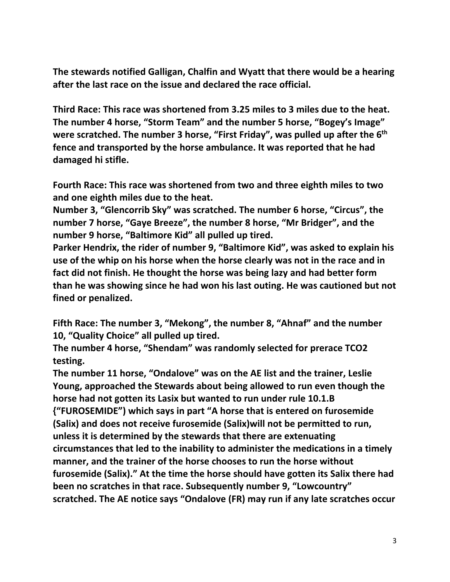**The stewards notified Galligan, Chalfin and Wyatt that there would be a hearing after the last race on the issue and declared the race official.** 

**Third Race: This race was shortened from 3.25 miles to 3 miles due to the heat. The number 4 horse, "Storm Team" and the number 5 horse, "Bogey's Image" were scratched. The number 3 horse, "First Friday", was pulled up after the 6th fence and transported by the horse ambulance. It was reported that he had damaged hi stifle.** 

**Fourth Race: This race was shortened from two and three eighth miles to two and one eighth miles due to the heat.** 

**Number 3, "Glencorrib Sky" was scratched. The number 6 horse, "Circus", the number 7 horse, "Gaye Breeze", the number 8 horse, "Mr Bridger", and the number 9 horse, "Baltimore Kid" all pulled up tired.** 

**Parker Hendrix, the rider of number 9, "Baltimore Kid", was asked to explain his use of the whip on his horse when the horse clearly was not in the race and in fact did not finish. He thought the horse was being lazy and had better form than he was showing since he had won his last outing. He was cautioned but not fined or penalized.** 

**Fifth Race: The number 3, "Mekong", the number 8, "Ahnaf" and the number 10, "Quality Choice" all pulled up tired.** 

**The number 4 horse, "Shendam" was randomly selected for prerace TCO2 testing.** 

**The number 11 horse, "Ondalove" was on the AE list and the trainer, Leslie Young, approached the Stewards about being allowed to run even though the horse had not gotten its Lasix but wanted to run under rule 10.1.B {"FUROSEMIDE") which says in part "A horse that is entered on furosemide (Salix) and does not receive furosemide (Salix)will not be permitted to run, unless it is determined by the stewards that there are extenuating circumstances that led to the inability to administer the medications in a timely manner, and the trainer of the horse chooses to run the horse without furosemide (Salix)." At the time the horse should have gotten its Salix there had been no scratches in that race. Subsequently number 9, "Lowcountry" scratched. The AE notice says "Ondalove (FR) may run if any late scratches occur**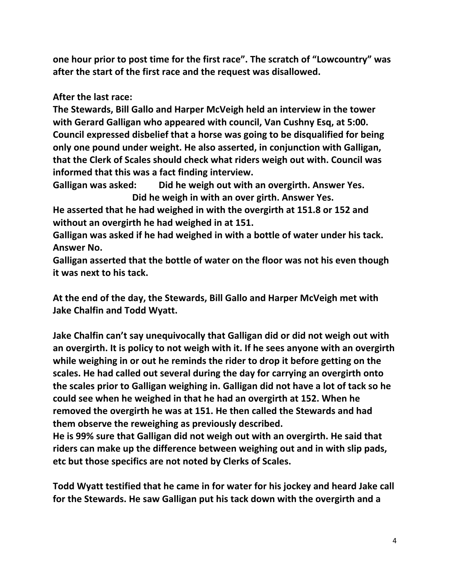**one hour prior to post time for the first race". The scratch of "Lowcountry" was after the start of the first race and the request was disallowed.** 

**After the last race:** 

**The Stewards, Bill Gallo and Harper McVeigh held an interview in the tower with Gerard Galligan who appeared with council, Van Cushny Esq, at 5:00. Council expressed disbelief that a horse was going to be disqualified for being only one pound under weight. He also asserted, in conjunction with Galligan, that the Clerk of Scales should check what riders weigh out with. Council was informed that this was a fact finding interview.** 

**Galligan was asked: Did he weigh out with an overgirth. Answer Yes. Did he weigh in with an over girth. Answer Yes.** 

**He asserted that he had weighed in with the overgirth at 151.8 or 152 and without an overgirth he had weighed in at 151.** 

**Galligan was asked if he had weighed in with a bottle of water under his tack. Answer No.** 

**Galligan asserted that the bottle of water on the floor was not his even though it was next to his tack.** 

**At the end of the day, the Stewards, Bill Gallo and Harper McVeigh met with Jake Chalfin and Todd Wyatt.** 

**Jake Chalfin can't say unequivocally that Galligan did or did not weigh out with an overgirth. It is policy to not weigh with it. If he sees anyone with an overgirth while weighing in or out he reminds the rider to drop it before getting on the scales. He had called out several during the day for carrying an overgirth onto the scales prior to Galligan weighing in. Galligan did not have a lot of tack so he could see when he weighed in that he had an overgirth at 152. When he removed the overgirth he was at 151. He then called the Stewards and had them observe the reweighing as previously described.** 

**He is 99% sure that Galligan did not weigh out with an overgirth. He said that riders can make up the difference between weighing out and in with slip pads, etc but those specifics are not noted by Clerks of Scales.** 

**Todd Wyatt testified that he came in for water for his jockey and heard Jake call for the Stewards. He saw Galligan put his tack down with the overgirth and a**